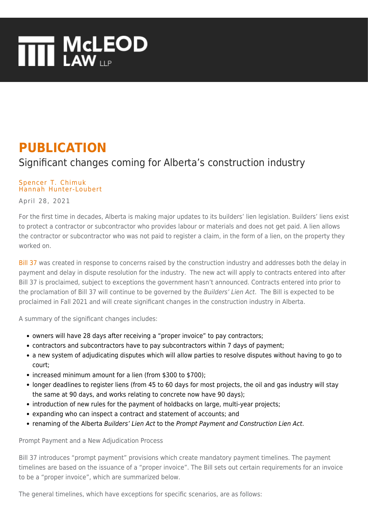# **THE MCLEOD**

## **PUBLICATION**

### Significant changes coming for Alberta's construction industry

#### [Spencer T. Chimuk](https://www.mcleod-law.com/professionals/spencer-t-chimuk/) [Hannah Hunter-Loubert](https://www.mcleod-law.com/professionals/hannah-hunter-loubert/)

April 28, 2021

For the first time in decades, Alberta is making major updates to its builders' lien legislation. Builders' liens exist to protect a contractor or subcontractor who provides labour or materials and does not get paid. A lien allows the contractor or subcontractor who was not paid to register a claim, in the form of a lien, on the property they worked on.

[Bill 37](https://docs.assembly.ab.ca/LADDAR_files/docs/bills/bill/legislature_30/session_2/20200225_bill-037.pdf) was created in response to concerns raised by the construction industry and addresses both the delay in payment and delay in dispute resolution for the industry. The new act will apply to contracts entered into after Bill 37 is proclaimed, subject to exceptions the government hasn't announced. Contracts entered into prior to the proclamation of Bill 37 will continue to be governed by the Builders' Lien Act. The Bill is expected to be proclaimed in Fall 2021 and will create significant changes in the construction industry in Alberta.

A summary of the significant changes includes:

- owners will have 28 days after receiving a "proper invoice" to pay contractors;
- contractors and subcontractors have to pay subcontractors within 7 days of payment;
- a new system of adjudicating disputes which will allow parties to resolve disputes without having to go to court;
- increased minimum amount for a lien (from \$300 to \$700);
- longer deadlines to register liens (from 45 to 60 days for most projects, the oil and gas industry will stay the same at 90 days, and works relating to concrete now have 90 days);
- introduction of new rules for the payment of holdbacks on large, multi-year projects;
- expanding who can inspect a contract and statement of accounts; and
- renaming of the Alberta Builders' Lien Act to the Prompt Payment and Construction Lien Act.

Prompt Payment and a New Adjudication Process

Bill 37 introduces "prompt payment" provisions which create mandatory payment timelines. The payment timelines are based on the issuance of a "proper invoice". The Bill sets out certain requirements for an invoice to be a "proper invoice", which are summarized below.

The general timelines, which have exceptions for specific scenarios, are as follows: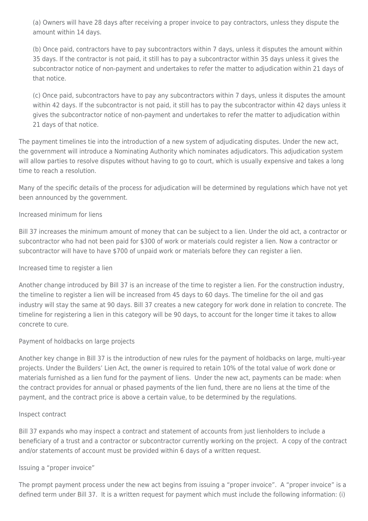(a) Owners will have 28 days after receiving a proper invoice to pay contractors, unless they dispute the amount within 14 days.

(b) Once paid, contractors have to pay subcontractors within 7 days, unless it disputes the amount within 35 days. If the contractor is not paid, it still has to pay a subcontractor within 35 days unless it gives the subcontractor notice of non-payment and undertakes to refer the matter to adjudication within 21 days of that notice.

(c) Once paid, subcontractors have to pay any subcontractors within 7 days, unless it disputes the amount within 42 days. If the subcontractor is not paid, it still has to pay the subcontractor within 42 days unless it gives the subcontractor notice of non-payment and undertakes to refer the matter to adjudication within 21 days of that notice.

The payment timelines tie into the introduction of a new system of adjudicating disputes. Under the new act, the government will introduce a Nominating Authority which nominates adjudicators. This adjudication system will allow parties to resolve disputes without having to go to court, which is usually expensive and takes a long time to reach a resolution.

Many of the specific details of the process for adjudication will be determined by regulations which have not yet been announced by the government.

#### Increased minimum for liens

Bill 37 increases the minimum amount of money that can be subject to a lien. Under the old act, a contractor or subcontractor who had not been paid for \$300 of work or materials could register a lien. Now a contractor or subcontractor will have to have \$700 of unpaid work or materials before they can register a lien.

#### Increased time to register a lien

Another change introduced by Bill 37 is an increase of the time to register a lien. For the construction industry, the timeline to register a lien will be increased from 45 days to 60 days. The timeline for the oil and gas industry will stay the same at 90 days. Bill 37 creates a new category for work done in relation to concrete. The timeline for registering a lien in this category will be 90 days, to account for the longer time it takes to allow concrete to cure.

#### Payment of holdbacks on large projects

Another key change in Bill 37 is the introduction of new rules for the payment of holdbacks on large, multi-year projects. Under the Builders' Lien Act, the owner is required to retain 10% of the total value of work done or materials furnished as a lien fund for the payment of liens. Under the new act, payments can be made: when the contract provides for annual or phased payments of the lien fund, there are no liens at the time of the payment, and the contract price is above a certain value, to be determined by the regulations.

#### Inspect contract

Bill 37 expands who may inspect a contract and statement of accounts from just lienholders to include a beneficiary of a trust and a contractor or subcontractor currently working on the project. A copy of the contract and/or statements of account must be provided within 6 days of a written request.

#### Issuing a "proper invoice"

The prompt payment process under the new act begins from issuing a "proper invoice". A "proper invoice" is a defined term under Bill 37. It is a written request for payment which must include the following information: (i)